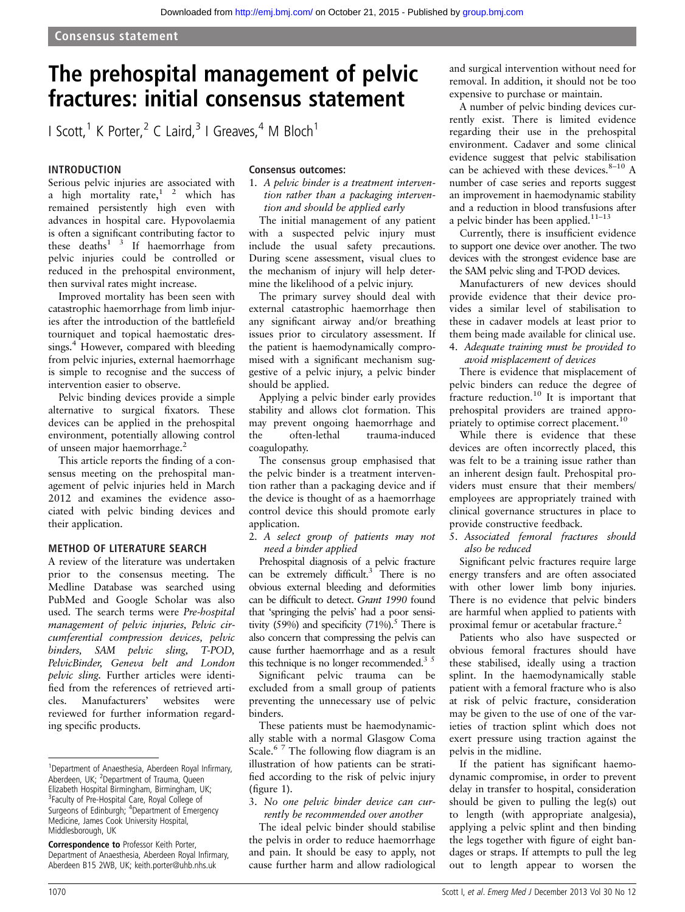# The prehospital management of pelvic fractures: initial consensus statement

I Scott.<sup>1</sup> K Porter,<sup>2</sup> C Laird.<sup>3</sup> I Greaves.<sup>4</sup> M Bloch<sup>1</sup>

### INTRODUCTION

Serious pelvic injuries are associated with  $\frac{1}{2}$  high mortality rate,  $\frac{1}{2}$  which has remained persistently high even with advances in hospital care. Hypovolaemia is often a significant contributing factor to these deaths<sup>1</sup><sup>3</sup> If haemorrhage from pelvic injuries could be controlled or reduced in the prehospital environment, then survival rates might increase.

Improved mortality has been seen with catastrophic haemorrhage from limb injuries after the introduction of the battlefield tourniquet and topical haemostatic dressings.<sup>4</sup> However, compared with bleeding from pelvic injuries, external haemorrhage is simple to recognise and the success of intervention easier to observe.

Pelvic binding devices provide a simple alternative to surgical fixators. These devices can be applied in the prehospital environment, potentially allowing control of unseen major haemorrhage.<sup>2</sup>

This article reports the finding of a consensus meeting on the prehospital management of pelvic injuries held in March 2012 and examines the evidence associated with pelvic binding devices and their application.

## METHOD OF LITERATURE SEARCH

A review of the literature was undertaken prior to the consensus meeting. The Medline Database was searched using PubMed and Google Scholar was also used. The search terms were Pre-hospital management of pelvic injuries, Pelvic circumferential compression devices, pelvic binders, SAM pelvic sling, T-POD, PelvicBinder, Geneva belt and London pelvic sling. Further articles were identified from the references of retrieved articles. Manufacturers' websites were reviewed for further information regarding specific products.

Correspondence to Professor Keith Porter, Department of Anaesthesia, Aberdeen Royal Infirmary, Aberdeen B15 2WB, UK; keith.porter@uhb.nhs.uk

#### Consensus outcomes:

1. A pelvic binder is a treatment intervention rather than a packaging intervention and should be applied early

The initial management of any patient with a suspected pelvic injury must include the usual safety precautions. During scene assessment, visual clues to the mechanism of injury will help determine the likelihood of a pelvic injury.

The primary survey should deal with external catastrophic haemorrhage then any significant airway and/or breathing issues prior to circulatory assessment. If the patient is haemodynamically compromised with a significant mechanism suggestive of a pelvic injury, a pelvic binder should be applied.

Applying a pelvic binder early provides stability and allows clot formation. This may prevent ongoing haemorrhage and the often-lethal trauma-induced coagulopathy.

The consensus group emphasised that the pelvic binder is a treatment intervention rather than a packaging device and if the device is thought of as a haemorrhage control device this should promote early application.

2. A select group of patients may not need a binder applied

Prehospital diagnosis of a pelvic fracture can be extremely difficult.<sup>3</sup> There is no obvious external bleeding and deformities can be difficult to detect. Grant 1990 found that 'springing the pelvis' had a poor sensitivity (59%) and specificity (71%).<sup>5</sup> There is also concern that compressing the pelvis can cause further haemorrhage and as a result this technique is no longer recommended.<sup>35</sup>

Significant pelvic trauma can be excluded from a small group of patients preventing the unnecessary use of pelvic binders.

These patients must be haemodynamically stable with a normal Glasgow Coma Scale.<sup>6 7</sup> The following flow diagram is an illustration of how patients can be stratified according to the risk of pelvic injury (figure 1).

3. No one pelvic binder device can currently be recommended over another

The ideal pelvic binder should stabilise the pelvis in order to reduce haemorrhage and pain. It should be easy to apply, not cause further harm and allow radiological and surgical intervention without need for removal. In addition, it should not be too expensive to purchase or maintain.

A number of pelvic binding devices currently exist. There is limited evidence regarding their use in the prehospital environment. Cadaver and some clinical evidence suggest that pelvic stabilisation can be achieved with these devices.<sup>8-10</sup> A number of case series and reports suggest an improvement in haemodynamic stability and a reduction in blood transfusions after a pelvic binder has been applied. $11-13$ 

Currently, there is insufficient evidence to support one device over another. The two devices with the strongest evidence base are the SAM pelvic sling and T-POD devices.

Manufacturers of new devices should provide evidence that their device provides a similar level of stabilisation to these in cadaver models at least prior to them being made available for clinical use. 4. Adequate training must be provided to avoid misplacement of devices

There is evidence that misplacement of pelvic binders can reduce the degree of fracture reduction.<sup>10</sup> It is important that prehospital providers are trained appropriately to optimise correct placement.<sup>10</sup>

While there is evidence that these devices are often incorrectly placed, this was felt to be a training issue rather than an inherent design fault. Prehospital providers must ensure that their members/ employees are appropriately trained with clinical governance structures in place to provide constructive feedback.

5. Associated femoral fractures should also be reduced

Significant pelvic fractures require large energy transfers and are often associated with other lower limb bony injuries. There is no evidence that pelvic binders are harmful when applied to patients with proximal femur or acetabular fracture.<sup>2</sup>

Patients who also have suspected or obvious femoral fractures should have these stabilised, ideally using a traction splint. In the haemodynamically stable patient with a femoral fracture who is also at risk of pelvic fracture, consideration may be given to the use of one of the varieties of traction splint which does not exert pressure using traction against the pelvis in the midline.

If the patient has significant haemodynamic compromise, in order to prevent delay in transfer to hospital, consideration should be given to pulling the leg(s) out to length (with appropriate analgesia), applying a pelvic splint and then binding the legs together with figure of eight bandages or straps. If attempts to pull the leg out to length appear to worsen the

<sup>&</sup>lt;sup>1</sup>Department of Anaesthesia, Aberdeen Royal Infirmary, Aberdeen, UK; <sup>2</sup>Department of Trauma, Queen Elizabeth Hospital Birmingham, Birmingham, UK; <sup>3</sup>Faculty of Pre-Hospital Care, Royal College of Surgeons of Edinburgh; <sup>4</sup>Department of Emergency Medicine, James Cook University Hospital, Middlesborough, UK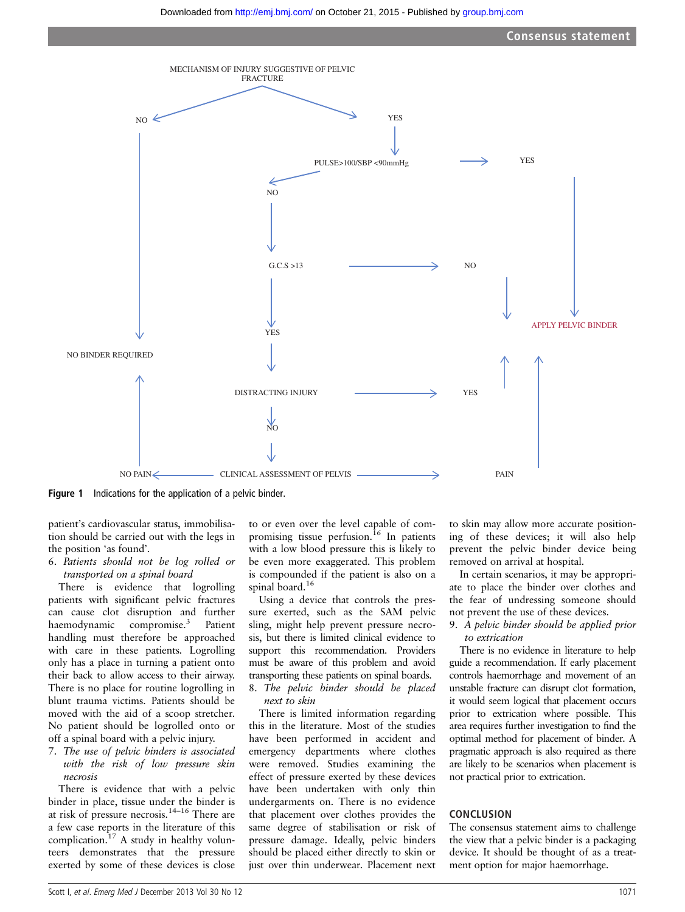

Figure 1 Indications for the application of a pelvic binder.

patient's cardiovascular status, immobilisation should be carried out with the legs in the position 'as found'.

6. Patients should not be log rolled or transported on a spinal board

There is evidence that logrolling patients with significant pelvic fractures can cause clot disruption and further haemodynamic compromise.<sup>3</sup> Patient handling must therefore be approached with care in these patients. Logrolling only has a place in turning a patient onto their back to allow access to their airway. There is no place for routine logrolling in blunt trauma victims. Patients should be moved with the aid of a scoop stretcher. No patient should be logrolled onto or off a spinal board with a pelvic injury.

7. The use of pelvic binders is associated with the risk of low pressure skin necrosis

There is evidence that with a pelvic binder in place, tissue under the binder is at risk of pressure necrosis.14–<sup>16</sup> There are a few case reports in the literature of this complication. $17$  A study in healthy volunteers demonstrates that the pressure exerted by some of these devices is close

to or even over the level capable of compromising tissue perfusion.<sup>16</sup> In patients with a low blood pressure this is likely to be even more exaggerated. This problem is compounded if the patient is also on a spinal board.<sup>16</sup>

Using a device that controls the pressure exerted, such as the SAM pelvic sling, might help prevent pressure necrosis, but there is limited clinical evidence to support this recommendation. Providers must be aware of this problem and avoid transporting these patients on spinal boards. 8. The pelvic binder should be placed

next to skin There is limited information regarding this in the literature. Most of the studies have been performed in accident and emergency departments where clothes were removed. Studies examining the

effect of pressure exerted by these devices have been undertaken with only thin undergarments on. There is no evidence that placement over clothes provides the same degree of stabilisation or risk of pressure damage. Ideally, pelvic binders should be placed either directly to skin or just over thin underwear. Placement next to skin may allow more accurate positioning of these devices; it will also help prevent the pelvic binder device being removed on arrival at hospital.

In certain scenarios, it may be appropriate to place the binder over clothes and the fear of undressing someone should not prevent the use of these devices.

9. A pelvic binder should be applied prior to extrication

There is no evidence in literature to help guide a recommendation. If early placement controls haemorrhage and movement of an unstable fracture can disrupt clot formation, it would seem logical that placement occurs prior to extrication where possible. This area requires further investigation to find the optimal method for placement of binder. A pragmatic approach is also required as there are likely to be scenarios when placement is not practical prior to extrication.

#### **CONCLUSION**

The consensus statement aims to challenge the view that a pelvic binder is a packaging device. It should be thought of as a treatment option for major haemorrhage.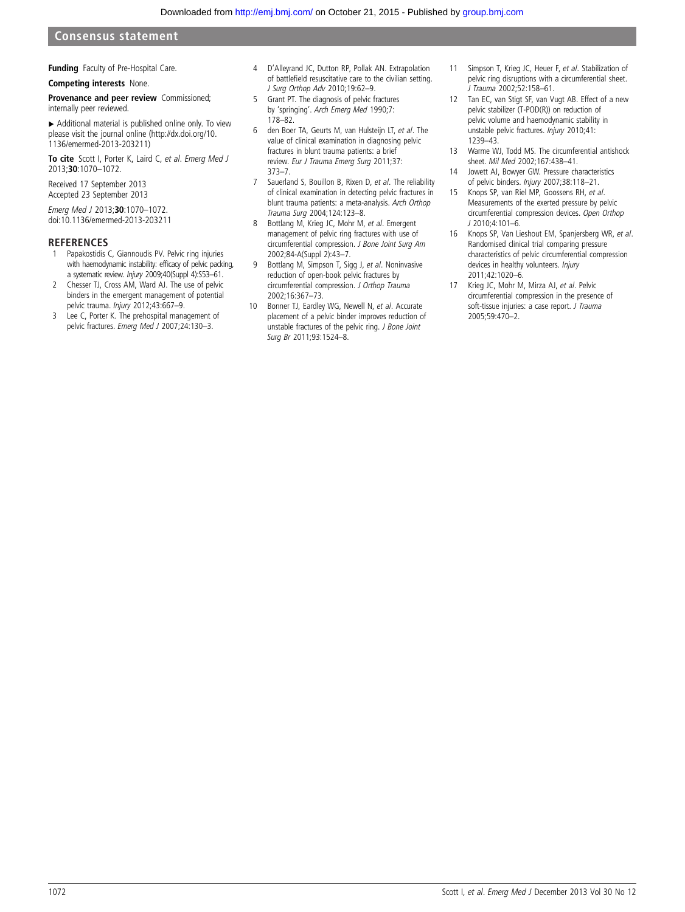# Consensus statement

Funding Faculty of Pre-Hospital Care.

#### Competing interests None.

Provenance and peer review Commissioned; internally peer reviewed.

▶ Additional material is published online only. To view please visit the journal online ([http://dx.doi.org/10.](http://dx.doi.org/10.1136/emermed-2013-203211) [1136/emermed-2013-203211\)](http://dx.doi.org/10.1136/emermed-2013-203211)

To cite Scott I, Porter K, Laird C, et al. Emerg Med J 2013;30:1070–1072.

Received 17 September 2013 Accepted 23 September 2013

Emerg Med J 2013;30:1070–1072. doi:10.1136/emermed-2013-203211

#### **REFERENCES**

- 1 Papakostidis C, Giannoudis PV. Pelvic ring injuries with haemodynamic instability: efficacy of pelvic packing, a systematic review. Injury 2009;40(Suppl 4):S53–61.
- 2 Chesser TJ, Cross AM, Ward AJ. The use of pelvic binders in the emergent management of potential pelvic trauma. Injury 2012;43:667–9.

3 Lee C, Porter K. The prehospital management of pelvic fractures. Emerg Med J 2007;24:130–3.

- 4 D'Alleyrand JC, Dutton RP, Pollak AN. Extrapolation of battlefield resuscitative care to the civilian setting. J Surg Orthop Adv 2010;19:62–9.
- 5 Grant PT. The diagnosis of pelvic fractures by 'springing'. Arch Emerg Med 1990;7: 178–82.
- 6 den Boer TA, Geurts M, van Hulsteijn LT, et al. The value of clinical examination in diagnosing pelvic fractures in blunt trauma patients: a brief review. Eur J Trauma Emerg Surg 2011;37: 373–7.
- 7 Sauerland S, Bouillon B, Rixen D, et al. The reliability of clinical examination in detecting pelvic fractures in blunt trauma patients: a meta-analysis. Arch Orthop Trauma Surg 2004;124:123–8.
- 8 Bottlang M, Krieg JC, Mohr M, et al. Emergent management of pelvic ring fractures with use of circumferential compression. J Bone Joint Surg Am 2002;84-A(Suppl 2):43–7.
- 9 Bottlang M, Simpson T, Sigg J, et al. Noninvasive reduction of open-book pelvic fractures by circumferential compression. J Orthop Trauma 2002;16:367–73.
- 10 Bonner TJ, Eardley WG, Newell N, et al. Accurate placement of a pelvic binder improves reduction of unstable fractures of the pelvic ring. J Bone Joint Surg Br 2011;93:1524–8.
- 11 Simpson T, Krieg JC, Heuer F, et al. Stabilization of pelvic ring disruptions with a circumferential sheet. J Trauma 2002;52:158–61.
- 12 Tan EC, van Stigt SF, van Vugt AB. Effect of a new pelvic stabilizer (T-POD(R)) on reduction of pelvic volume and haemodynamic stability in unstable pelvic fractures. Injury 2010;41: 1239–43.
- 13 Warme WJ, Todd MS. The circumferential antishock sheet. Mil Med 2002;167:438–41.
- 14 Jowett AJ, Bowyer GW. Pressure characteristics of pelvic binders. Injury 2007;38:118–21.
- 15 Knops SP, van Riel MP, Goossens RH, et al. Measurements of the exerted pressure by pelvic circumferential compression devices. Open Orthop J 2010;4:101–6.
- 16 Knops SP, Van Lieshout EM, Spanjersberg WR, et al. Randomised clinical trial comparing pressure characteristics of pelvic circumferential compression devices in healthy volunteers. Injury 2011;42:1020–6.
- 17 Krieg JC, Mohr M, Mirza AJ, et al. Pelvic circumferential compression in the presence of soft-tissue injuries: a case report. J Trauma 2005;59:470–2.